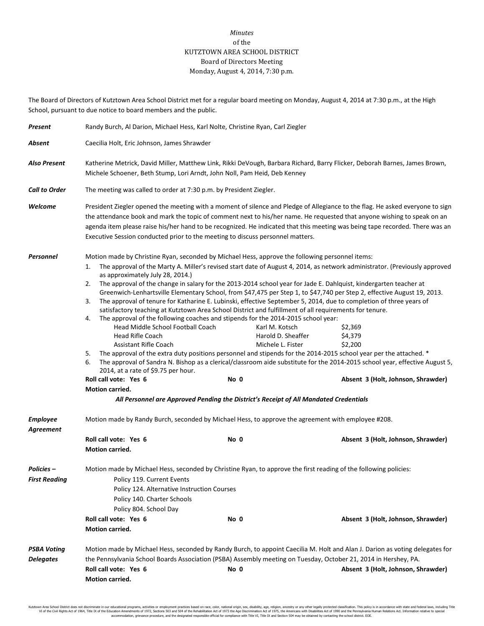## *Minutes* of the KUTZTOWN AREA SCHOOL DISTRICT Board of Directors Meeting Monday, August 4, 2014, 7:30 p.m.

The Board of Directors of Kutztown Area School District met for a regular board meeting on Monday, August 4, 2014 at 7:30 p.m., at the High School, pursuant to due notice to board members and the public.

| Present                                   | Randy Burch, Al Darion, Michael Hess, Karl Nolte, Christine Ryan, Carl Ziegler                                                                                                                                                                                                                                                                                                                                                                                                                                                                                                                                                                                                                                                                                                                                                                                                                                                                                                                                                                                                                                                                                                                                                                                                                                                                                                                      |      |                                                           |                                                                     |  |
|-------------------------------------------|-----------------------------------------------------------------------------------------------------------------------------------------------------------------------------------------------------------------------------------------------------------------------------------------------------------------------------------------------------------------------------------------------------------------------------------------------------------------------------------------------------------------------------------------------------------------------------------------------------------------------------------------------------------------------------------------------------------------------------------------------------------------------------------------------------------------------------------------------------------------------------------------------------------------------------------------------------------------------------------------------------------------------------------------------------------------------------------------------------------------------------------------------------------------------------------------------------------------------------------------------------------------------------------------------------------------------------------------------------------------------------------------------------|------|-----------------------------------------------------------|---------------------------------------------------------------------|--|
| Absent                                    | Caecilia Holt, Eric Johnson, James Shrawder                                                                                                                                                                                                                                                                                                                                                                                                                                                                                                                                                                                                                                                                                                                                                                                                                                                                                                                                                                                                                                                                                                                                                                                                                                                                                                                                                         |      |                                                           |                                                                     |  |
| <b>Also Present</b>                       | Katherine Metrick, David Miller, Matthew Link, Rikki DeVough, Barbara Richard, Barry Flicker, Deborah Barnes, James Brown,<br>Michele Schoener, Beth Stump, Lori Arndt, John Noll, Pam Heid, Deb Kenney                                                                                                                                                                                                                                                                                                                                                                                                                                                                                                                                                                                                                                                                                                                                                                                                                                                                                                                                                                                                                                                                                                                                                                                             |      |                                                           |                                                                     |  |
| <b>Call to Order</b>                      | The meeting was called to order at 7:30 p.m. by President Ziegler.                                                                                                                                                                                                                                                                                                                                                                                                                                                                                                                                                                                                                                                                                                                                                                                                                                                                                                                                                                                                                                                                                                                                                                                                                                                                                                                                  |      |                                                           |                                                                     |  |
| Welcome                                   | President Ziegler opened the meeting with a moment of silence and Pledge of Allegiance to the flag. He asked everyone to sign<br>the attendance book and mark the topic of comment next to his/her name. He requested that anyone wishing to speak on an<br>agenda item please raise his/her hand to be recognized. He indicated that this meeting was being tape recorded. There was an<br>Executive Session conducted prior to the meeting to discuss personnel matters.                                                                                                                                                                                                                                                                                                                                                                                                                                                                                                                                                                                                                                                                                                                                                                                                                                                                                                                          |      |                                                           |                                                                     |  |
| Personnel                                 | Motion made by Christine Ryan, seconded by Michael Hess, approve the following personnel items:<br>The approval of the Marty A. Miller's revised start date of August 4, 2014, as network administrator. (Previously approved<br>1.<br>as approximately July 28, 2014.)<br>The approval of the change in salary for the 2013-2014 school year for Jade E. Dahlquist, kindergarten teacher at<br>2.<br>Greenwich-Lenhartsville Elementary School, from \$47,475 per Step 1, to \$47,740 per Step 2, effective August 19, 2013.<br>The approval of tenure for Katharine E. Lubinski, effective September 5, 2014, due to completion of three years of<br>3.<br>satisfactory teaching at Kutztown Area School District and fulfillment of all requirements for tenure.<br>The approval of the following coaches and stipends for the 2014-2015 school year:<br>4.<br>Head Middle School Football Coach<br>Head Rifle Coach<br><b>Assistant Rifle Coach</b><br>The approval of the extra duty positions personnel and stipends for the 2014-2015 school year per the attached. *<br>5.<br>The approval of Sandra N. Bishop as a clerical/classroom aide substitute for the 2014-2015 school year, effective August 5,<br>6.<br>2014, at a rate of \$9.75 per hour.<br>Roll call vote: Yes 6<br>Motion carried.<br>All Personnel are Approved Pending the District's Receipt of All Mandated Credentials | No 0 | Karl M. Kotsch<br>Harold D. Sheaffer<br>Michele L. Fister | \$2,369<br>\$4,379<br>\$2.200<br>Absent 3 (Holt, Johnson, Shrawder) |  |
| <b>Employee</b><br>Agreement              | Motion made by Randy Burch, seconded by Michael Hess, to approve the agreement with employee #208.<br>Roll call vote: Yes 6                                                                                                                                                                                                                                                                                                                                                                                                                                                                                                                                                                                                                                                                                                                                                                                                                                                                                                                                                                                                                                                                                                                                                                                                                                                                         | No 0 |                                                           | Absent 3 (Holt, Johnson, Shrawder)                                  |  |
| <b>Policies –</b><br><b>First Reading</b> | Motion carried.<br>Motion made by Michael Hess, seconded by Christine Ryan, to approve the first reading of the following policies:<br>Policy 119. Current Events<br>Policy 124. Alternative Instruction Courses<br>Policy 140. Charter Schools<br>Policy 804. School Day<br>Roll call vote: Yes 6<br>No 0<br>Absent 3 (Holt, Johnson, Shrawder)<br>Motion carried.                                                                                                                                                                                                                                                                                                                                                                                                                                                                                                                                                                                                                                                                                                                                                                                                                                                                                                                                                                                                                                 |      |                                                           |                                                                     |  |
| <b>PSBA Voting</b><br><b>Delegates</b>    | Motion made by Michael Hess, seconded by Randy Burch, to appoint Caecilia M. Holt and Alan J. Darion as voting delegates for<br>the Pennsylvania School Boards Association (PSBA) Assembly meeting on Tuesday, October 21, 2014 in Hershey, PA.<br>Roll call vote: Yes 6<br><b>Motion carried.</b>                                                                                                                                                                                                                                                                                                                                                                                                                                                                                                                                                                                                                                                                                                                                                                                                                                                                                                                                                                                                                                                                                                  | No 0 |                                                           | Absent 3 (Holt, Johnson, Shrawder)                                  |  |

Kutztown Area School District does not discriminate in our educational programs, activities or employment practices based on race, color, national origin, sex, disability, age, religion, ancestry or any other legally prot